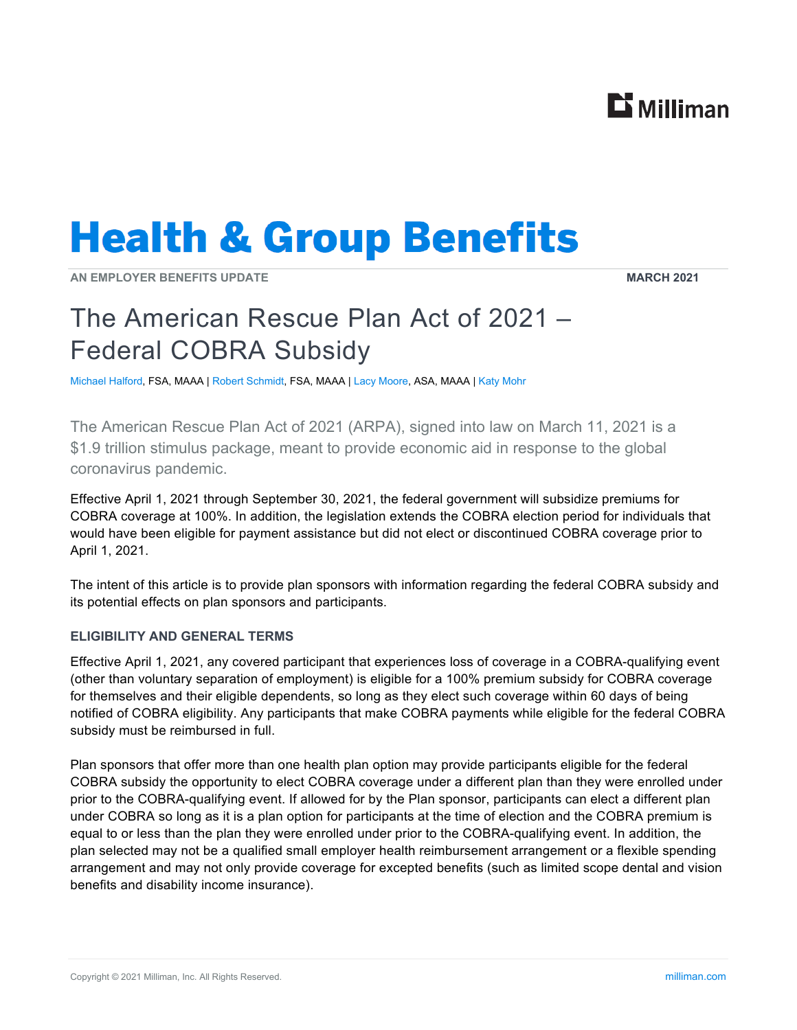## $\mathbf{B}$  Milliman

# **Health & Group Benefits**

**AN EMPLOYER BENEFITS UPDATE MARCH 2021** 

### The American Rescue Plan Act of 2021 – Federal COBRA Subsidy

Michael Halford, FSA, MAAA | Robert Schmidt, FSA, MAAA | Lacy Moore, ASA, MAAA | Katy Mohr

The American Rescue Plan Act of 2021 (ARPA), signed into law on March 11, 2021 is a \$1.9 trillion stimulus package, meant to provide economic aid in response to the global coronavirus pandemic.

Effective April 1, 2021 through September 30, 2021, the federal government will subsidize premiums for COBRA coverage at 100%. In addition, the legislation extends the COBRA election period for individuals that would have been eligible for payment assistance but did not elect or discontinued COBRA coverage prior to April 1, 2021.

The intent of this article is to provide plan sponsors with information regarding the federal COBRA subsidy and its potential effects on plan sponsors and participants.

#### **ELIGIBILITY AND GENERAL TERMS**

Effective April 1, 2021, any covered participant that experiences loss of coverage in a COBRA-qualifying event (other than voluntary separation of employment) is eligible for a 100% premium subsidy for COBRA coverage for themselves and their eligible dependents, so long as they elect such coverage within 60 days of being notified of COBRA eligibility. Any participants that make COBRA payments while eligible for the federal COBRA subsidy must be reimbursed in full.

Plan sponsors that offer more than one health plan option may provide participants eligible for the federal COBRA subsidy the opportunity to elect COBRA coverage under a different plan than they were enrolled under prior to the COBRA-qualifying event. If allowed for by the Plan sponsor, participants can elect a different plan under COBRA so long as it is a plan option for participants at the time of election and the COBRA premium is equal to or less than the plan they were enrolled under prior to the COBRA-qualifying event. In addition, the plan selected may not be a qualified small employer health reimbursement arrangement or a flexible spending arrangement and may not only provide coverage for excepted benefits (such as limited scope dental and vision benefits and disability income insurance).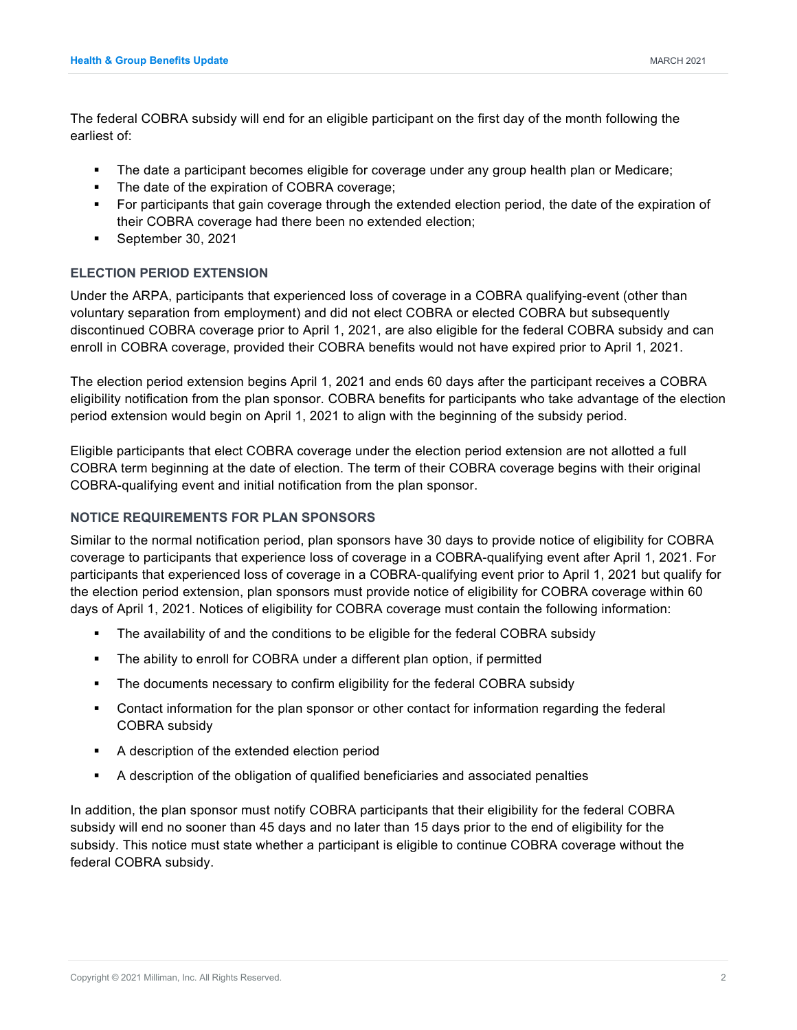The federal COBRA subsidy will end for an eligible participant on the first day of the month following the earliest of:

- The date a participant becomes eligible for coverage under any group health plan or Medicare;
- The date of the expiration of COBRA coverage;
- For participants that gain coverage through the extended election period, the date of the expiration of their COBRA coverage had there been no extended election;
- September 30, 2021

#### **ELECTION PERIOD EXTENSION**

Under the ARPA, participants that experienced loss of coverage in a COBRA qualifying-event (other than voluntary separation from employment) and did not elect COBRA or elected COBRA but subsequently discontinued COBRA coverage prior to April 1, 2021, are also eligible for the federal COBRA subsidy and can enroll in COBRA coverage, provided their COBRA benefits would not have expired prior to April 1, 2021.

The election period extension begins April 1, 2021 and ends 60 days after the participant receives a COBRA eligibility notification from the plan sponsor. COBRA benefits for participants who take advantage of the election period extension would begin on April 1, 2021 to align with the beginning of the subsidy period.

Eligible participants that elect COBRA coverage under the election period extension are not allotted a full COBRA term beginning at the date of election. The term of their COBRA coverage begins with their original COBRA-qualifying event and initial notification from the plan sponsor.

#### **NOTICE REQUIREMENTS FOR PLAN SPONSORS**

Similar to the normal notification period, plan sponsors have 30 days to provide notice of eligibility for COBRA coverage to participants that experience loss of coverage in a COBRA-qualifying event after April 1, 2021. For participants that experienced loss of coverage in a COBRA-qualifying event prior to April 1, 2021 but qualify for the election period extension, plan sponsors must provide notice of eligibility for COBRA coverage within 60 days of April 1, 2021. Notices of eligibility for COBRA coverage must contain the following information:

- The availability of and the conditions to be eligible for the federal COBRA subsidy
- **The ability to enroll for COBRA under a different plan option, if permitted**
- The documents necessary to confirm eligibility for the federal COBRA subsidy
- Contact information for the plan sponsor or other contact for information regarding the federal COBRA subsidy
- A description of the extended election period
- A description of the obligation of qualified beneficiaries and associated penalties

In addition, the plan sponsor must notify COBRA participants that their eligibility for the federal COBRA subsidy will end no sooner than 45 days and no later than 15 days prior to the end of eligibility for the subsidy. This notice must state whether a participant is eligible to continue COBRA coverage without the federal COBRA subsidy.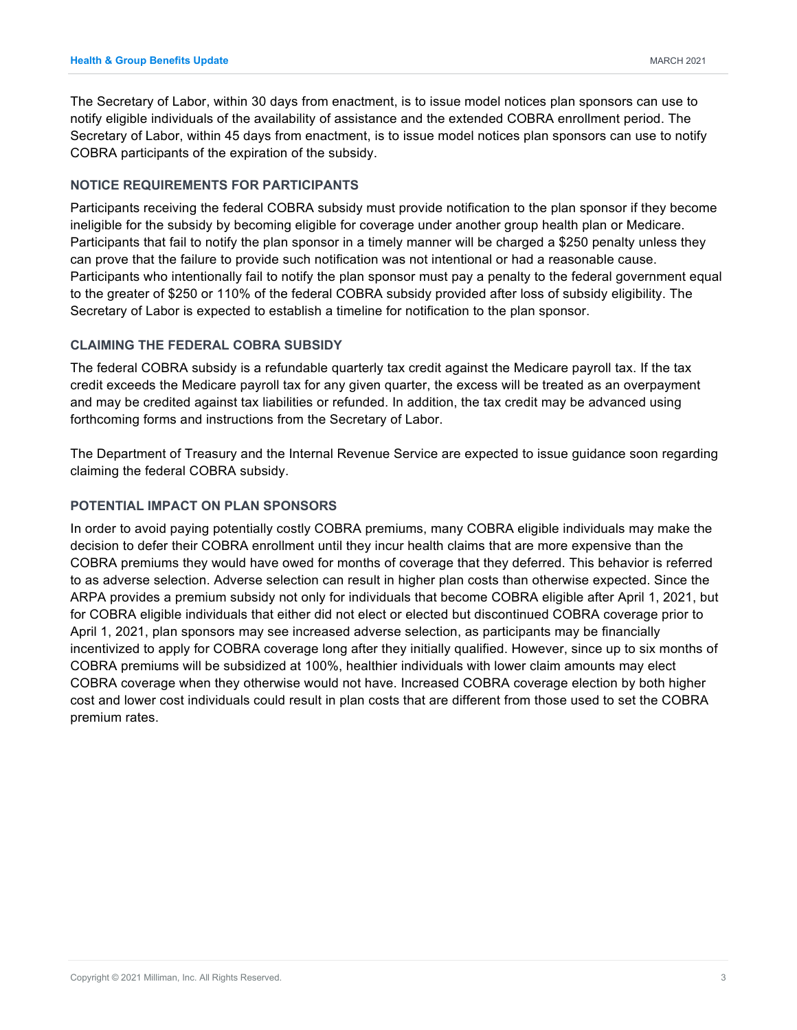The Secretary of Labor, within 30 days from enactment, is to issue model notices plan sponsors can use to notify eligible individuals of the availability of assistance and the extended COBRA enrollment period. The Secretary of Labor, within 45 days from enactment, is to issue model notices plan sponsors can use to notify COBRA participants of the expiration of the subsidy.

#### **NOTICE REQUIREMENTS FOR PARTICIPANTS**

Participants receiving the federal COBRA subsidy must provide notification to the plan sponsor if they become ineligible for the subsidy by becoming eligible for coverage under another group health plan or Medicare. Participants that fail to notify the plan sponsor in a timely manner will be charged a \$250 penalty unless they can prove that the failure to provide such notification was not intentional or had a reasonable cause. Participants who intentionally fail to notify the plan sponsor must pay a penalty to the federal government equal to the greater of \$250 or 110% of the federal COBRA subsidy provided after loss of subsidy eligibility. The Secretary of Labor is expected to establish a timeline for notification to the plan sponsor.

#### **CLAIMING THE FEDERAL COBRA SUBSIDY**

The federal COBRA subsidy is a refundable quarterly tax credit against the Medicare payroll tax. If the tax credit exceeds the Medicare payroll tax for any given quarter, the excess will be treated as an overpayment and may be credited against tax liabilities or refunded. In addition, the tax credit may be advanced using forthcoming forms and instructions from the Secretary of Labor.

The Department of Treasury and the Internal Revenue Service are expected to issue guidance soon regarding claiming the federal COBRA subsidy.

#### **POTENTIAL IMPACT ON PLAN SPONSORS**

In order to avoid paying potentially costly COBRA premiums, many COBRA eligible individuals may make the decision to defer their COBRA enrollment until they incur health claims that are more expensive than the COBRA premiums they would have owed for months of coverage that they deferred. This behavior is referred to as adverse selection. Adverse selection can result in higher plan costs than otherwise expected. Since the ARPA provides a premium subsidy not only for individuals that become COBRA eligible after April 1, 2021, but for COBRA eligible individuals that either did not elect or elected but discontinued COBRA coverage prior to April 1, 2021, plan sponsors may see increased adverse selection, as participants may be financially incentivized to apply for COBRA coverage long after they initially qualified. However, since up to six months of COBRA premiums will be subsidized at 100%, healthier individuals with lower claim amounts may elect COBRA coverage when they otherwise would not have. Increased COBRA coverage election by both higher cost and lower cost individuals could result in plan costs that are different from those used to set the COBRA premium rates.